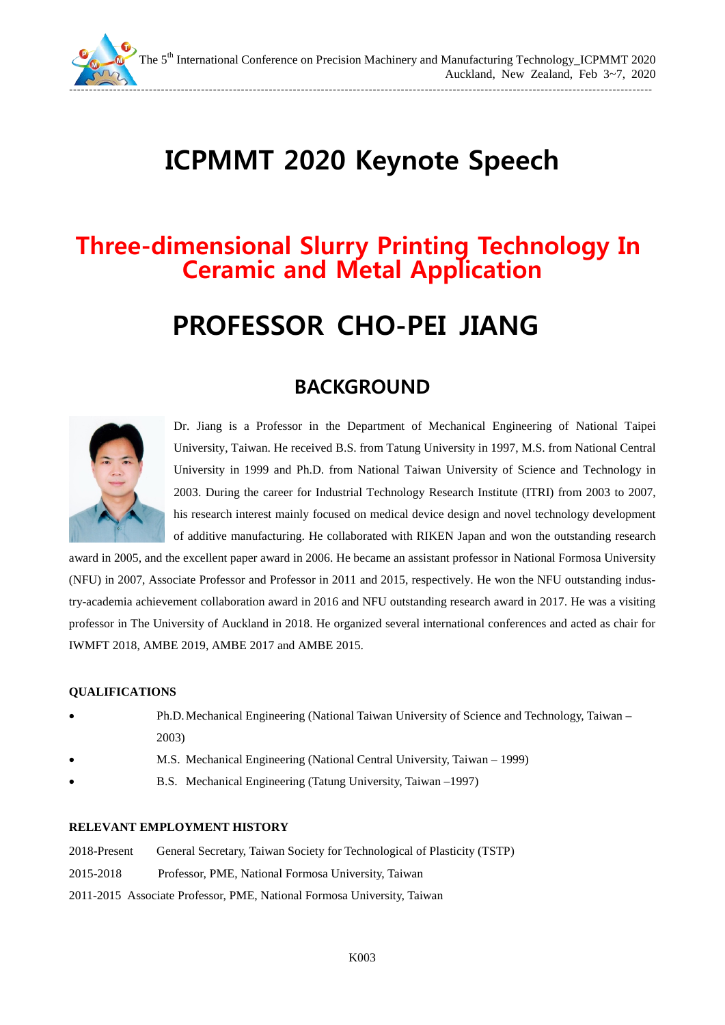

The 5<sup>th</sup> International Conference on Precision Machinery and Manufacturing Technology\_ICPMMT 2020 Auckland, New Zealand, Feb 3~7, 2020

--------------------------------------------------------------------------------------------------------------------------------------------------

## **ICPMMT 2020 Keynote Speech**

# **Three-dimensional Slurry Printing Technology In Ceramic and Metal Application**

## **PROFESSOR CHO-PEI JIANG**

### **BACKGROUND**



Dr. Jiang is a Professor in the Department of Mechanical Engineering of National Taipei University, Taiwan. He received B.S. from Tatung University in 1997, M.S. from National Central University in 1999 and Ph.D. from National Taiwan University of Science and Technology in 2003. During the career for Industrial Technology Research Institute (ITRI) from 2003 to 2007, his research interest mainly focused on medical device design and novel technology development of additive manufacturing. He collaborated with RIKEN Japan and won the outstanding research

award in 2005, and the excellent paper award in 2006. He became an assistant professor in National Formosa University (NFU) in 2007, Associate Professor and Professor in 2011 and 2015, respectively. He won the NFU outstanding industry-academia achievement collaboration award in 2016 and NFU outstanding research award in 2017. He was a visiting professor in The University of Auckland in 2018. He organized several international conferences and acted as chair for IWMFT 2018, AMBE 2019, AMBE 2017 and AMBE 2015.

#### **QUALIFICATIONS**

- Ph.D.Mechanical Engineering (National Taiwan University of Science and Technology, Taiwan 2003)
- M.S. Mechanical Engineering (National Central University, Taiwan 1999)
- B.S. Mechanical Engineering (Tatung University, Taiwan –1997)

#### **RELEVANT EMPLOYMENT HISTORY**

| 2018-Present | General Secretary, Taiwan Society for Technological of Plasticity (TSTP) |
|--------------|--------------------------------------------------------------------------|
| 2015-2018    | Professor, PME, National Formosa University, Taiwan                      |
|              | 2011-2015 Associate Professor, PME, National Formosa University, Taiwan  |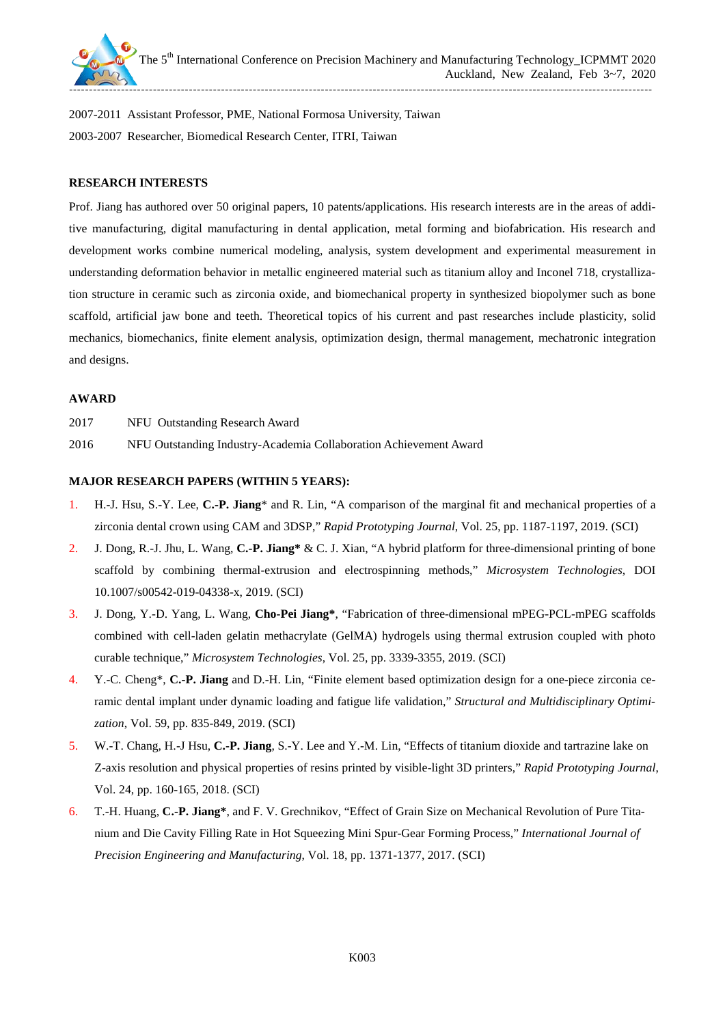

2007-2011 Assistant Professor, PME, National Formosa University, Taiwan 2003-2007 Researcher, Biomedical Research Center, ITRI, Taiwan

#### **RESEARCH INTERESTS**

Prof. Jiang has authored over 50 original papers, 10 patents/applications. His research interests are in the areas of additive manufacturing, digital manufacturing in dental application, metal forming and biofabrication. His research and development works combine numerical modeling, analysis, system development and experimental measurement in understanding deformation behavior in metallic engineered material such as titanium alloy and Inconel 718, crystallization structure in ceramic such as zirconia oxide, and biomechanical property in synthesized biopolymer such as bone scaffold, artificial jaw bone and teeth. Theoretical topics of his current and past researches include plasticity, solid mechanics, biomechanics, finite element analysis, optimization design, thermal management, mechatronic integration and designs.

#### **AWARD**

| 2017 |  | NFU Outstanding Research Award |  |  |
|------|--|--------------------------------|--|--|
|------|--|--------------------------------|--|--|

2016 NFU Outstanding Industry-Academia Collaboration Achievement Award

#### **MAJOR RESEARCH PAPERS (WITHIN 5 YEARS):**

- 1. H.-J. Hsu, S.-Y. Lee, **C.-P. Jiang**\* and R. Lin, "A comparison of the marginal fit and mechanical properties of a zirconia dental crown using CAM and 3DSP," *Rapid Prototyping Journal*, Vol. 25, pp. 1187-1197, 2019. (SCI)
- 2. J. Dong, R.-J. Jhu, L. Wang, **C.-P. Jiang\*** & C. J. Xian, "A hybrid platform for three-dimensional printing of bone scaffold by combining thermal-extrusion and electrospinning methods," *Microsystem Technologies*, DOI 10.1007/s00542-019-04338-x, 2019. (SCI)
- 3. J. Dong, Y.-D. Yang, L. Wang, **Cho-Pei Jiang\***, "Fabrication of three-dimensional mPEG-PCL-mPEG scaffolds combined with cell-laden gelatin methacrylate (GelMA) hydrogels using thermal extrusion coupled with photo curable technique," *Microsystem Technologies*, Vol. 25, pp. 3339-3355, 2019. (SCI)
- 4. Y.-C. Cheng\*, **C.-P. Jiang** and D.-H. Lin, "Finite element based optimization design for a one-piece zirconia ceramic dental implant under dynamic loading and fatigue life validation," *Structural and Multidisciplinary Optimization*, Vol. 59, pp. 835-849, 2019. (SCI)
- 5. W.-T. Chang, H.-J Hsu, **C.-P. Jiang**, S.-Y. Lee and Y.-M. Lin, "Effects of titanium dioxide and tartrazine lake on Z-axis resolution and physical properties of resins printed by visible-light 3D printers," *Rapid Prototyping Journal*, Vol. 24, pp. 160-165, 2018. (SCI)
- 6. T.-H. Huang, **C.-P. Jiang\***, and F. V. Grechnikov, "Effect of Grain Size on Mechanical Revolution of Pure Titanium and Die Cavity Filling Rate in Hot Squeezing Mini Spur-Gear Forming Process," *International Journal of Precision Engineering and Manufacturing*, Vol. 18, pp. 1371-1377, 2017. (SCI)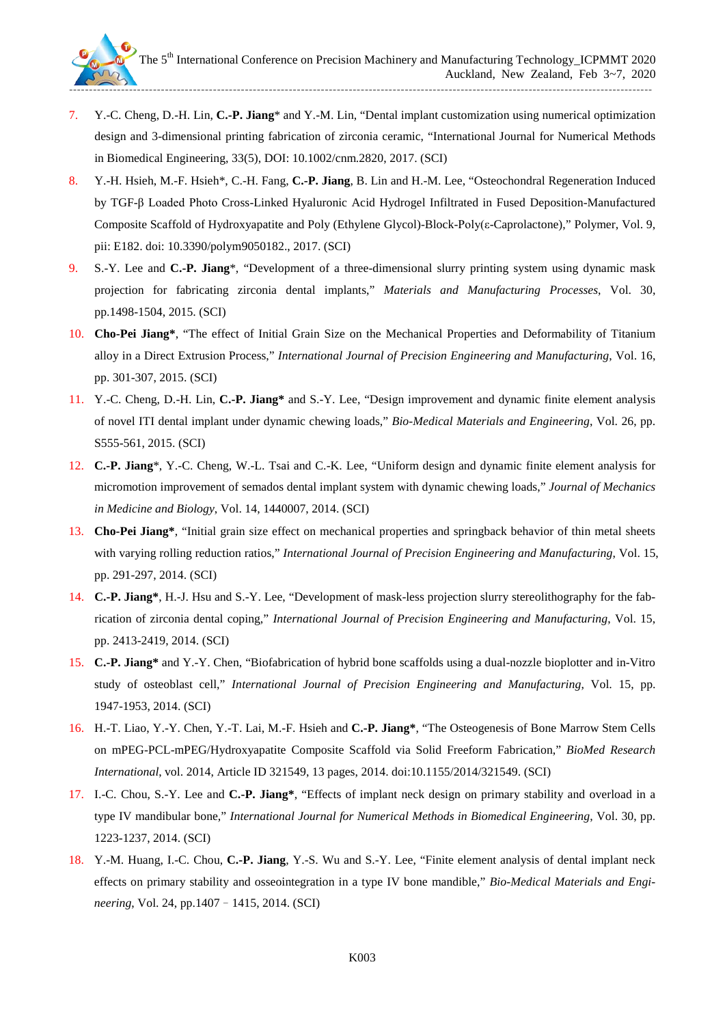

- 7. Y.-C. Cheng, D.-H. Lin, **C.-P. Jiang**\* and Y.-M. Lin, "Dental implant customization using numerical optimization design and 3-dimensional printing fabrication of zirconia ceramic, "International Journal for Numerical Methods in Biomedical Engineering, 33(5), DOI: 10.1002/cnm.2820, 2017. (SCI)
- 8. Y.-H. Hsieh, M.-F. Hsieh\*, C.-H. Fang, **C.-P. Jiang**, B. Lin and H.-M. Lee, "Osteochondral Regeneration Induced by TGF-β Loaded Photo Cross-Linked Hyaluronic Acid Hydrogel Infiltrated in Fused Deposition-Manufactured Composite Scaffold of Hydroxyapatite and Poly (Ethylene Glycol)-Block-Poly(ε-Caprolactone)," Polymer, Vol. 9, pii: E182. doi: 10.3390/polym9050182., 2017. (SCI)
- 9. S.-Y. Lee and **C.-P. Jiang**\*, "Development of a three-dimensional slurry printing system using dynamic mask projection for fabricating zirconia dental implants," *Materials and Manufacturing Processes*, Vol. 30, pp.1498-1504, 2015. (SCI)
- 10. **Cho-Pei Jiang\***, "The effect of Initial Grain Size on the Mechanical Properties and Deformability of Titanium alloy in a Direct Extrusion Process," *International Journal of Precision Engineering and Manufacturing*, Vol. 16, pp. 301-307, 2015. (SCI)
- 11. Y.-C. Cheng, D.-H. Lin, **C.-P. Jiang\*** and S.-Y. Lee, "Design improvement and dynamic finite element analysis of novel ITI dental implant under dynamic chewing loads," *Bio-Medical Materials and Engineering*, Vol. 26, pp. S555-561, 2015. (SCI)
- 12. **C.-P. Jiang**\*, Y.-C. Cheng, W.-L. Tsai and C.-K. Lee, "Uniform design and dynamic finite element analysis for micromotion improvement of semados dental implant system with dynamic chewing loads," *Journal of Mechanics in Medicine and Biology*, Vol. 14, 1440007, 2014. (SCI)
- 13. **Cho-Pei Jiang\***, "Initial grain size effect on mechanical properties and springback behavior of thin metal sheets with varying rolling reduction ratios," *International Journal of Precision Engineering and Manufacturing*, Vol. 15, pp. 291-297, 2014. (SCI)
- 14. **C.-P. Jiang\***, H.-J. Hsu and S.-Y. Lee, "Development of mask-less projection slurry stereolithography for the fabrication of zirconia dental coping," *International Journal of Precision Engineering and Manufacturing*, Vol. 15, pp. 2413-2419, 2014. (SCI)
- 15. **C.-P. Jiang\*** and Y.-Y. Chen, "Biofabrication of hybrid bone scaffolds using a dual-nozzle bioplotter and in-Vitro study of osteoblast cell," *International Journal of Precision Engineering and Manufacturing*, Vol. 15, pp. 1947-1953, 2014. (SCI)
- 16. H.-T. Liao, Y.-Y. Chen, Y.-T. Lai, M.-F. Hsieh and **C.-P. Jiang\***, "The Osteogenesis of Bone Marrow Stem Cells on mPEG-PCL-mPEG/Hydroxyapatite Composite Scaffold via Solid Freeform Fabrication," *BioMed Research International*, vol. 2014, Article ID 321549, 13 pages, 2014. doi:10.1155/2014/321549. (SCI)
- 17. I.-C. Chou, S.-Y. Lee and **C.-P. Jiang\***, "Effects of implant neck design on primary stability and overload in a type IV mandibular bone," *International Journal for Numerical Methods in Biomedical Engineering*, Vol. 30, pp. 1223-1237, 2014. (SCI)
- 18. Y.-M. Huang, I.-C. Chou, **C.-P. Jiang**, Y.-S. Wu and S.-Y. Lee, "Finite element analysis of dental implant neck effects on primary stability and osseointegration in a type IV bone mandible," *Bio-Medical Materials and Engineering*, Vol. 24, pp.1407–1415, 2014. (SCI)